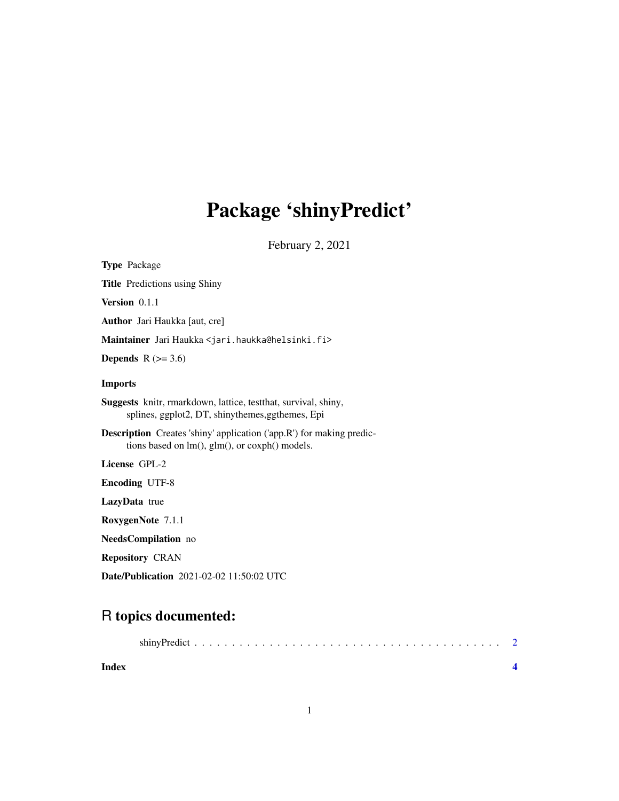## Package 'shinyPredict'

February 2, 2021

| <b>Type Package</b>                                                                                                           |
|-------------------------------------------------------------------------------------------------------------------------------|
| <b>Title</b> Predictions using Shiny                                                                                          |
| Version $0.1.1$                                                                                                               |
| <b>Author</b> Jari Haukka [aut, cre]                                                                                          |
| Maintainer Jari Haukka <jari.haukka@helsinki.fi></jari.haukka@helsinki.fi>                                                    |
| <b>Depends</b> $R$ ( $> = 3.6$ )                                                                                              |
| <b>Imports</b>                                                                                                                |
| Suggests knitr, rmarkdown, lattice, test that, survival, shiny,<br>splines, ggplot2, DT, shinythemes, ggthemes, Epi           |
| <b>Description</b> Creates 'shiny' application ('app.R') for making predic-<br>tions based on lm(), glm(), or coxph() models. |
| License GPL-2                                                                                                                 |
| <b>Encoding UTF-8</b>                                                                                                         |
| LazyData true                                                                                                                 |
| RoxygenNote 7.1.1                                                                                                             |
| NeedsCompilation no                                                                                                           |
| <b>Repository CRAN</b>                                                                                                        |
| Date/Publication 2021-02-02 11:50:02 UTC                                                                                      |

### R topics documented:

| Index |  |
|-------|--|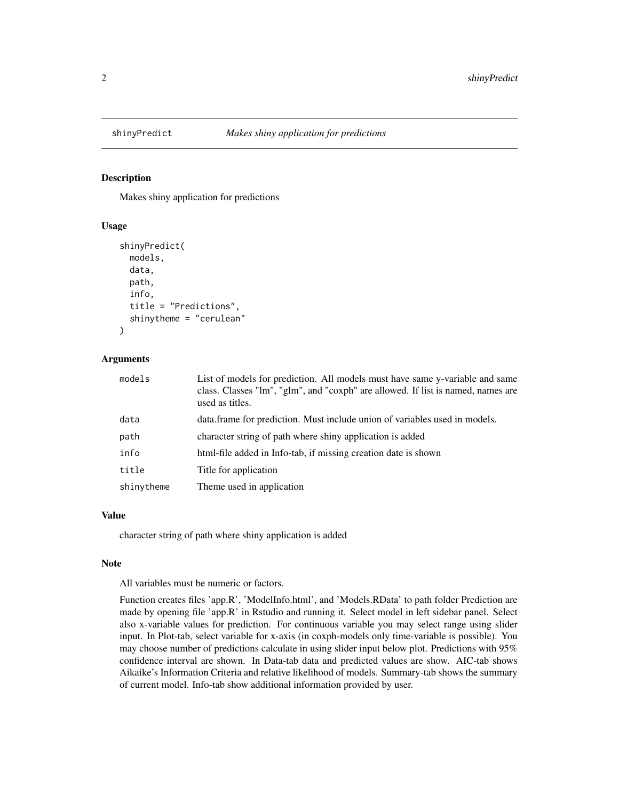<span id="page-1-0"></span>

#### Description

Makes shiny application for predictions

#### Usage

```
shinyPredict(
 models,
  data,
 path,
  info,
  title = "Predictions",
  shinytheme = "cerulean"
)
```
#### Arguments

| models     | List of models for prediction. All models must have same y-variable and same<br>class. Classes "lm", "glm", and "coxph" are allowed. If list is named, names are<br>used as titles. |
|------------|-------------------------------------------------------------------------------------------------------------------------------------------------------------------------------------|
| data       | data. frame for prediction. Must include union of variables used in models.                                                                                                         |
| path       | character string of path where shiny application is added                                                                                                                           |
| info       | html-file added in Info-tab, if missing creation date is shown                                                                                                                      |
| title      | Title for application                                                                                                                                                               |
| shinytheme | Theme used in application                                                                                                                                                           |

#### Value

character string of path where shiny application is added

#### Note

All variables must be numeric or factors.

Function creates files 'app.R', 'ModelInfo.html', and 'Models.RData' to path folder Prediction are made by opening file 'app.R' in Rstudio and running it. Select model in left sidebar panel. Select also x-variable values for prediction. For continuous variable you may select range using slider input. In Plot-tab, select variable for x-axis (in coxph-models only time-variable is possible). You may choose number of predictions calculate in using slider input below plot. Predictions with 95% confidence interval are shown. In Data-tab data and predicted values are show. AIC-tab shows Aikaike's Information Criteria and relative likelihood of models. Summary-tab shows the summary of current model. Info-tab show additional information provided by user.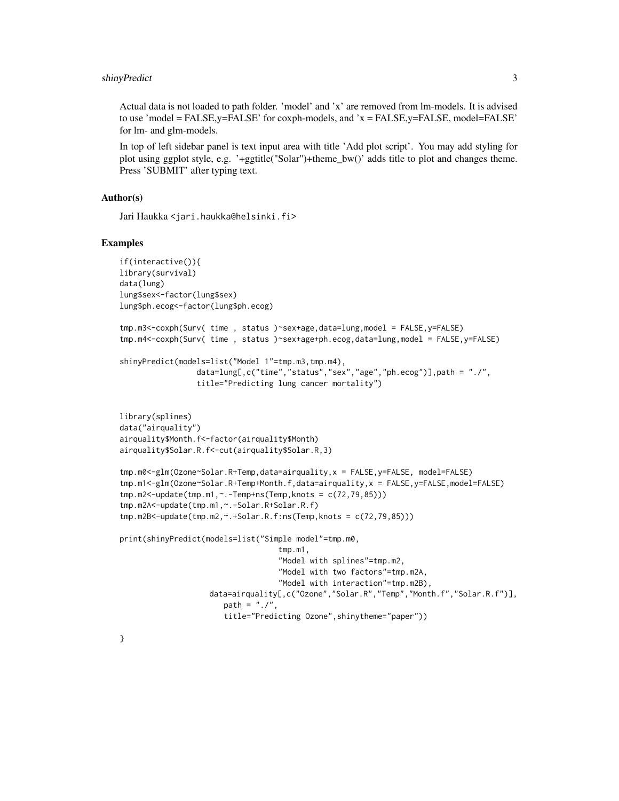#### shinyPredict 3

Actual data is not loaded to path folder. 'model' and 'x' are removed from lm-models. It is advised to use 'model = FALSE,  $y =$ FALSE' for coxph-models, and  $x =$  FALSE,  $y =$ FALSE, model=FALSE' for lm- and glm-models.

In top of left sidebar panel is text input area with title 'Add plot script'. You may add styling for plot using ggplot style, e.g. '+ggtitle("Solar")+theme\_bw()' adds title to plot and changes theme. Press 'SUBMIT' after typing text.

#### Author(s)

Jari Haukka <jari.haukka@helsinki.fi>

#### Examples

```
if(interactive()){
library(survival)
data(lung)
lung$sex<-factor(lung$sex)
lung$ph.ecog<-factor(lung$ph.ecog)
tmp.m3<-coxph(Surv( time , status )~sex+age,data=lung,model = FALSE,y=FALSE)
tmp.m4<-coxph(Surv( time , status )~sex+age+ph.ecog,data=lung,model = FALSE,y=FALSE)
shinyPredict(models=list("Model 1"=tmp.m3,tmp.m4),
                 data=lung[,c("time","status","sex","age","ph.ecog")],path = "./",
                 title="Predicting lung cancer mortality")
library(splines)
data("airquality")
airquality$Month.f<-factor(airquality$Month)
airquality$Solar.R.f<-cut(airquality$Solar.R,3)
tmp.m0<-glm(Ozone~Solar.R+Temp,data=airquality,x = FALSE,y=FALSE, model=FALSE)
tmp.m1<-glm(Ozone~Solar.R+Temp+Month.f,data=airquality,x = FALSE,y=FALSE,model=FALSE)
tmp.m2<-update(tmp.m1,~.-Temp+ns(Temp,knots = c(72,79,85)))
tmp.m2A<-update(tmp.m1,~.-Solar.R+Solar.R.f)
tmp.m2B<-update(tmp.m2,~.+Solar.R.f:ns(Temp,knots = c(72,79,85)))
print(shinyPredict(models=list("Simple model"=tmp.m0,
                                   tmp.m1,
                                   "Model with splines"=tmp.m2,
                                   "Model with two factors"=tmp.m2A,
                                   "Model with interaction"=tmp.m2B),
                    data=airquality[,c("Ozone","Solar.R","Temp","Month.f","Solar.R.f")],
                       path = "./".title="Predicting Ozone",shinytheme="paper"))
```
}